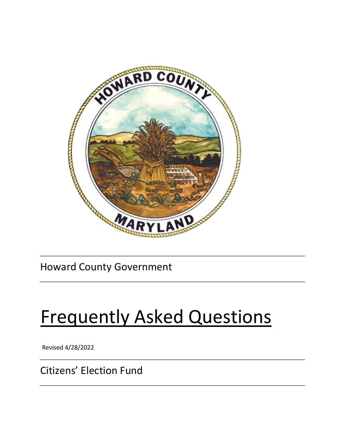

# Howard County Government

# Frequently Asked Questions

Revised 4/28/2022

Citizens' Election Fund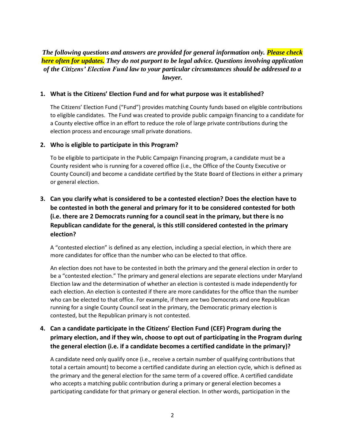# *The following questions and answers are provided for general information only. Please check here often for updates. They do not purport to be legal advice. Questions involving application of the Citizens' Election Fund law to your particular circumstances should be addressed to a lawyer.*

#### **1. What is the Citizens' Election Fund and for what purpose was it established?**

The Citizens' Election Fund ("Fund") provides matching County funds based on eligible contributions to eligible candidates. The Fund was created to provide public campaign financing to a candidate for a County elective office in an effort to reduce the role of large private contributions during the election process and encourage small private donations.

#### **2. Who is eligible to participate in this Program?**

To be eligible to participate in the Public Campaign Financing program, a candidate must be a County resident who is running for a covered office (i.e., the Office of the County Executive or County Council) and become a candidate certified by the State Board of Elections in either a primary or general election.

# **3. Can you clarify what is considered to be a contested election? Does the election have to be contested in both the general and primary for it to be considered contested for both (i.e. there are 2 Democrats running for a council seat in the primary, but there is no Republican candidate for the general, is this still considered contested in the primary election?**

A "contested election" is defined as any election, including a special election, in which there are more candidates for office than the number who can be elected to that office.

An election does not have to be contested in both the primary and the general election in order to be a "contested election." The primary and general elections are separate elections under Maryland Election law and the determination of whether an election is contested is made independently for each election. An election is contested if there are more candidates for the office than the number who can be elected to that office. For example, if there are two Democrats and one Republican running for a single County Council seat in the primary, the Democratic primary election is contested, but the Republican primary is not contested.

# **4. Can a candidate participate in the Citizens' Election Fund (CEF) Program during the primary election, and if they win, choose to opt out of participating in the Program during the general election (i.e. if a candidate becomes a certified candidate in the primary)?**

A candidate need only qualify once (i.e., receive a certain number of qualifying contributions that total a certain amount) to become a certified candidate during an election cycle, which is defined as the primary and the general election for the same term of a covered office. A certified candidate who accepts a matching public contribution during a primary or general election becomes a participating candidate for that primary or general election. In other words, participation in the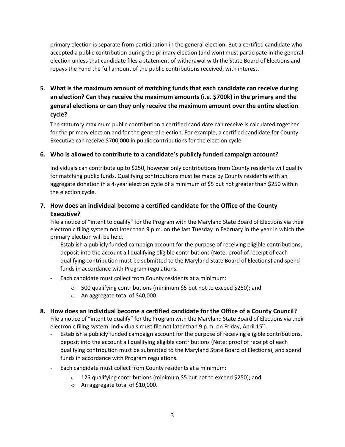primary election is separate from participation in the general election. But a certified candidate who accepted a public contribution during the primary election (and won) must participate in the general election unless that candidate files a statement of withdrawal with the State Board of Elections and repays the Fund the full amount of the public contributions received, with interest.

**5. What is the maximum amount of matching funds that each candidate can receive during an election? Can they receive the maximum amounts (i.e. \$700k) in the primary and the general elections or can they only receive the maximum amount over the entire election cycle?** 

The statutory maximum public contribution a certified candidate can receive is calculated together for the primary election and for the general election. For example, a certified candidate for County Executive can receive \$700,000 in public contributions for the election cycle.

#### **6. Who is allowed to contribute to a candidate's publicly funded campaign account?**

Individuals can contribute up to \$250, however only contributions from County residents will qualify for matching public funds. Qualifying contributions must be made by County residents with an aggregate donation in a 4-year election cycle of a minimum of \$5 but not greater than \$250 within the election cycle.

### **7. How does an individual become a certified candidate for the Office of the County Executive?**

File a notice of "intent to qualify" for the Program with the Maryland State Board of Elections via their electronic filing system not later than 9 p.m. on the last Tuesday in February in the year in which the primary election will be held.

- Establish a publicly funded campaign account for the purpose of receiving eligible contributions, deposit into the account all qualifying eligible contributions (Note: proof of receipt of each qualifying contribution must be submitted to the Maryland State Board of Elections) and spend funds in accordance with Program regulations.
- Each candidate must collect from County residents at a minimum:
	- o 500 qualifying contributions (minimum \$5 but not to exceed \$250); and
	- o An aggregate total of \$40,000.

#### **8. How does an individual become a certified candidate for the Office of a County Council?**

File a notice of "intent to qualify" for the Program with the Maryland State Board of Elections via their electronic filing system. Individuals must file not later than 9 p.m. on Friday, April 15<sup>th</sup>.

- Establish a publicly funded campaign account for the purpose of receiving eligible contributions, deposit into the account all qualifying eligible contributions (Note: proof of receipt of each qualifying contribution must be submitted to the Maryland State Board of Elections), and spend funds in accordance with Program regulations.
- Each candidate must collect from County residents at a minimum:
	- o 125 qualifying contributions (minimum \$5 but not to exceed \$250); and
	- o An aggregate total of \$10,000.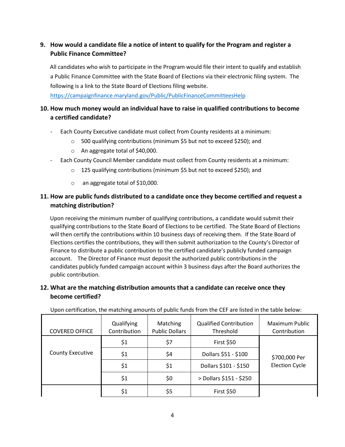# **9. How would a candidate file a notice of intent to qualify for the Program and register a Public Finance Committee?**

All candidates who wish to participate in the Program would file their intent to qualify and establish a Public Finance Committee with the State Board of Elections via their electronic filing system. The following is a link to the State Board of Elections filing website.

https://campaignfinance.maryland.gov/Public/PublicFinanceCommitteesHelp

# **10. How much money would an individual have to raise in qualified contributions to become a certified candidate?**

- Each County Executive candidate must collect from County residents at a minimum:
	- o 500 qualifying contributions (minimum \$5 but not to exceed \$250); and
	- o An aggregate total of \$40,000.
- Each County Council Member candidate must collect from County residents at a minimum:
	- o 125 qualifying contributions (minimum \$5 but not to exceed \$250); and
	- o an aggregate total of \$10,000.

# **11. How are public funds distributed to a candidate once they become certified and request a matching distribution?**

Upon receiving the minimum number of qualifying contributions, a candidate would submit their qualifying contributions to the State Board of Elections to be certified. The State Board of Elections will then certify the contributions within 10 business days of receiving them. If the State Board of Elections certifies the contributions, they will then submit authorization to the County's Director of Finance to distribute a public contribution to the certified candidate's publicly funded campaign account. The Director of Finance must deposit the authorized public contributions in the candidates publicly funded campaign account within 3 business days after the Board authorizes the public contribution.

### **12. What are the matching distribution amounts that a candidate can receive once they become certified?**

| <b>COVERED OFFICE</b>   | Qualifying<br>Contribution | Matching<br><b>Public Dollars</b> | <b>Qualified Contribution</b><br>Threshold | Maximum Public<br>Contribution |
|-------------------------|----------------------------|-----------------------------------|--------------------------------------------|--------------------------------|
|                         | \$1                        | \$7                               | <b>First \$50</b>                          |                                |
| <b>County Executive</b> | \$1                        | \$4                               | Dollars \$51 - \$100                       | \$700,000 Per                  |
|                         | \$1                        | \$1                               | Dollars \$101 - \$150                      | <b>Election Cycle</b>          |
|                         | \$1                        | \$0                               | > Dollars \$151 - \$250                    |                                |
|                         | \$1                        | \$5                               | <b>First \$50</b>                          |                                |

Upon certification, the matching amounts of public funds from the CEF are listed in the table below: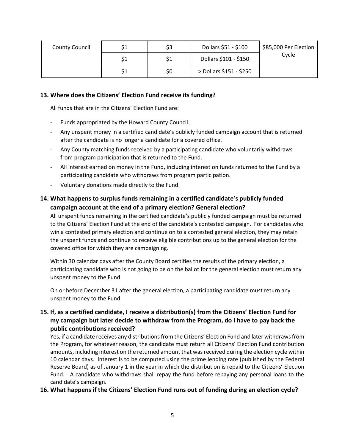| <b>County Council</b> |     | \$3 | Dollars \$51 - \$100    | \$85,000 Per Election |
|-----------------------|-----|-----|-------------------------|-----------------------|
|                       | \$1 | \$1 | Dollars \$101 - \$150   | Cycle                 |
|                       | \$1 | \$0 | > Dollars \$151 - \$250 |                       |

#### **13. Where does the Citizens' Election Fund receive its funding?**

All funds that are in the Citizens' Election Fund are:

- Funds appropriated by the Howard County Council.
- Any unspent money in a certified candidate's publicly funded campaign account that is returned after the candidate is no longer a candidate for a covered office.
- Any County matching funds received by a participating candidate who voluntarily withdraws from program participation that is returned to the Fund.
- All interest earned on money in the Fund, including interest on funds returned to the Fund by a participating candidate who withdraws from program participation.
- Voluntary donations made directly to the Fund.

### **14. What happens to surplus funds remaining in a certified candidate's publicly funded campaign account at the end of a primary election? General election?**

All unspent funds remaining in the certified candidate's publicly funded campaign must be returned to the Citizens' Election Fund at the end of the candidate's contested campaign. For candidates who win a contested primary election and continue on to a contested general election, they may retain the unspent funds and continue to receive eligible contributions up to the general election for the covered office for which they are campaigning.

Within 30 calendar days after the County Board certifies the results of the primary election, a participating candidate who is not going to be on the ballot for the general election must return any unspent money to the Fund.

On or before December 31 after the general election, a participating candidate must return any unspent money to the Fund.

# **15. If, as a certified candidate, I receive a distribution(s) from the Citizens' Election Fund for my campaign but later decide to withdraw from the Program, do I have to pay back the public contributions received?**

Yes, if a candidate receives any distributions from the Citizens' Election Fund and later withdraws from the Program, for whatever reason, the candidate must return all Citizens' Election Fund contribution amounts, including interest on the returned amount that was received during the election cycle within 10 calendar days. Interest is to be computed using the prime lending rate (published by the Federal Reserve Board) as of January 1 in the year in which the distribution is repaid to the Citizens' Election Fund. A candidate who withdraws shall repay the fund before repaying any personal loans to the candidate's campaign.

#### **16. What happens if the Citizens' Election Fund runs out of funding during an election cycle?**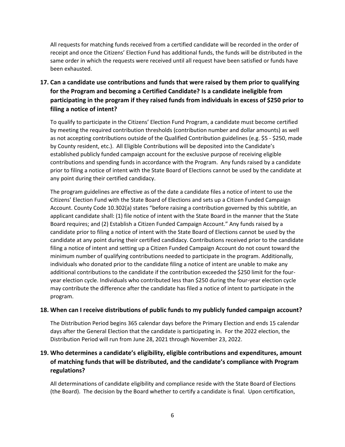All requests for matching funds received from a certified candidate will be recorded in the order of receipt and once the Citizens' Election Fund has additional funds, the funds will be distributed in the same order in which the requests were received until all request have been satisfied or funds have been exhausted.

# **17. Can a candidate use contributions and funds that were raised by them prior to qualifying for the Program and becoming a Certified Candidate? Is a candidate ineligible from participating in the program if they raised funds from individuals in excess of \$250 prior to filing a notice of intent?**

To qualify to participate in the Citizens' Election Fund Program, a candidate must become certified by meeting the required contribution thresholds (contribution number and dollar amounts) as well as not accepting contributions outside of the Qualified Contribution guidelines (e.g. \$5 - \$250, made by County resident, etc.). All Eligible Contributions will be deposited into the Candidate's established publicly funded campaign account for the exclusive purpose of receiving eligible contributions and spending funds in accordance with the Program. Any funds raised by a candidate prior to filing a notice of intent with the State Board of Elections cannot be used by the candidate at any point during their certified candidacy.

The program guidelines are effective as of the date a candidate files a notice of intent to use the Citizens' Election Fund with the State Board of Elections and sets up a Citizen Funded Campaign Account. County Code 10.302(a) states "before raising a contribution governed by this subtitle, an applicant candidate shall: (1) file notice of intent with the State Board in the manner that the State Board requires; and (2) Establish a Citizen Funded Campaign Account." Any funds raised by a candidate prior to filing a notice of intent with the State Board of Elections cannot be used by the candidate at any point during their certified candidacy. Contributions received prior to the candidate filing a notice of intent and setting up a Citizen Funded Campaign Account do not count toward the minimum number of qualifying contributions needed to participate in the program. Additionally, individuals who donated prior to the candidate filing a notice of intent are unable to make any additional contributions to the candidate if the contribution exceeded the \$250 limit for the fouryear election cycle. Individuals who contributed less than \$250 during the four-year election cycle may contribute the difference after the candidate has filed a notice of intent to participate in the program.

#### **18. When can I receive distributions of public funds to my publicly funded campaign account?**

The Distribution Period begins 365 calendar days before the Primary Election and ends 15 calendar days after the General Election that the candidate is participating in. For the 2022 election, the Distribution Period will run from June 28, 2021 through November 23, 2022.

# **19. Who determines a candidate's eligibility, eligible contributions and expenditures, amount of matching funds that will be distributed, and the candidate's compliance with Program regulations?**

All determinations of candidate eligibility and compliance reside with the State Board of Elections (the Board). The decision by the Board whether to certify a candidate is final. Upon certification,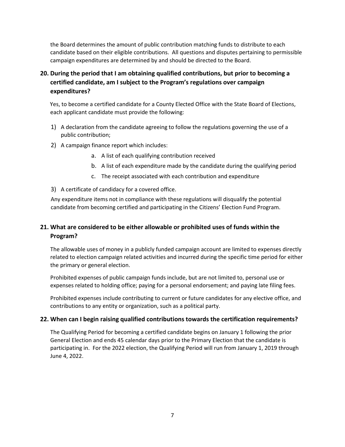the Board determines the amount of public contribution matching funds to distribute to each candidate based on their eligible contributions. All questions and disputes pertaining to permissible campaign expenditures are determined by and should be directed to the Board.

# **20. During the period that I am obtaining qualified contributions, but prior to becoming a certified candidate, am I subject to the Program's regulations over campaign expenditures?**

Yes, to become a certified candidate for a County Elected Office with the State Board of Elections, each applicant candidate must provide the following:

- 1) A declaration from the candidate agreeing to follow the regulations governing the use of a public contribution;
- 2) A campaign finance report which includes:
	- a. A list of each qualifying contribution received
	- b. A list of each expenditure made by the candidate during the qualifying period
	- c. The receipt associated with each contribution and expenditure
- 3) A certificate of candidacy for a covered office.

Any expenditure items not in compliance with these regulations will disqualify the potential candidate from becoming certified and participating in the Citizens' Election Fund Program.

# **21. What are considered to be either allowable or prohibited uses of funds within the Program?**

The allowable uses of money in a publicly funded campaign account are limited to expenses directly related to election campaign related activities and incurred during the specific time period for either the primary or general election.

Prohibited expenses of public campaign funds include, but are not limited to, personal use or expenses related to holding office; paying for a personal endorsement; and paying late filing fees.

Prohibited expenses include contributing to current or future candidates for any elective office, and contributions to any entity or organization, such as a political party.

#### **22. When can I begin raising qualified contributions towards the certification requirements?**

The Qualifying Period for becoming a certified candidate begins on January 1 following the prior General Election and ends 45 calendar days prior to the Primary Election that the candidate is participating in. For the 2022 election, the Qualifying Period will run from January 1, 2019 through June 4, 2022.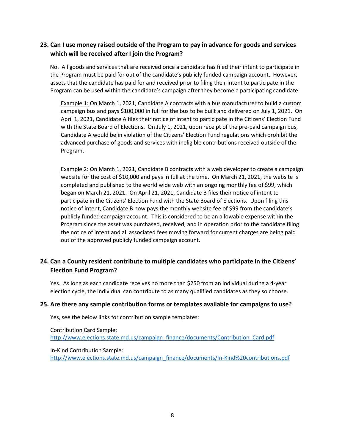#### **23. Can I use money raised outside of the Program to pay in advance for goods and services which will be received after I join the Program?**

No. All goods and services that are received once a candidate has filed their intent to participate in the Program must be paid for out of the candidate's publicly funded campaign account. However, assets that the candidate has paid for and received prior to filing their intent to participate in the Program can be used within the candidate's campaign after they become a participating candidate:

Example 1: On March 1, 2021, Candidate A contracts with a bus manufacturer to build a custom campaign bus and pays \$100,000 in full for the bus to be built and delivered on July 1, 2021. On April 1, 2021, Candidate A files their notice of intent to participate in the Citizens' Election Fund with the State Board of Elections. On July 1, 2021, upon receipt of the pre-paid campaign bus, Candidate A would be in violation of the Citizens' Election Fund regulations which prohibit the advanced purchase of goods and services with ineligible contributions received outside of the Program.

Example 2: On March 1, 2021, Candidate B contracts with a web developer to create a campaign website for the cost of \$10,000 and pays in full at the time. On March 21, 2021, the website is completed and published to the world wide web with an ongoing monthly fee of \$99, which began on March 21, 2021. On April 21, 2021, Candidate B files their notice of intent to participate in the Citizens' Election Fund with the State Board of Elections. Upon filing this notice of intent, Candidate B now pays the monthly website fee of \$99 from the candidate's publicly funded campaign account. This is considered to be an allowable expense within the Program since the asset was purchased, received, and in operation prior to the candidate filing the notice of intent and all associated fees moving forward for current charges are being paid out of the approved publicly funded campaign account.

### **24. Can a County resident contribute to multiple candidates who participate in the Citizens' Election Fund Program?**

Yes. As long as each candidate receives no more than \$250 from an individual during a 4-year election cycle, the individual can contribute to as many qualified candidates as they so choose.

#### **25. Are there any sample contribution forms or templates available for campaigns to use?**

Yes, see the below links for contribution sample templates:

Contribution Card Sample: [http://www.elections.state.md.us/campaign\\_finance/documents/Contribution\\_Card.pdf](http://www.elections.state.md.us/campaign_finance/documents/Contribution_Card.pdf)

In-Kind Contribution Sample: [http://www.elections.state.md.us/campaign\\_finance/documents/In-Kind%20contributions.pdf](http://www.elections.state.md.us/campaign_finance/documents/In-Kind%20contributions.pdf)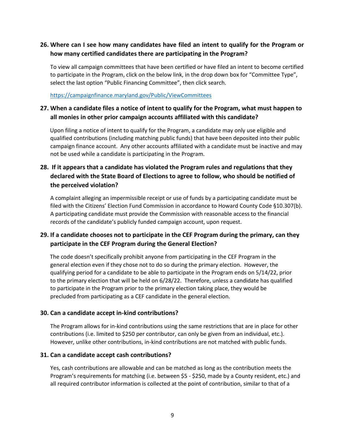### **26. Where can I see how many candidates have filed an intent to qualify for the Program or how many certified candidates there are participating in the Program?**

To view all campaign committees that have been certified or have filed an intent to become certified to participate in the Program, click on the below link, in the drop down box for "Committee Type", select the last option "Public Financing Committee", then click search.

<https://campaignfinance.maryland.gov/Public/ViewCommittees>

## **27. When a candidate files a notice of intent to qualify for the Program, what must happen to all monies in other prior campaign accounts affiliated with this candidate?**

Upon filing a notice of intent to qualify for the Program, a candidate may only use eligible and qualified contributions (including matching public funds) that have been deposited into their public campaign finance account. Any other accounts affiliated with a candidate must be inactive and may not be used while a candidate is participating in the Program.

# **28. If it appears that a candidate has violated the Program rules and regulations that they declared with the State Board of Elections to agree to follow, who should be notified of the perceived violation?**

A complaint alleging an impermissible receipt or use of funds by a participating candidate must be filed with the Citizens' Election Fund Commission in accordance to Howard County Code §10.307(b). A participating candidate must provide the Commission with reasonable access to the financial records of the candidate's publicly funded campaign account, upon request.

# **29. If a candidate chooses not to participate in the CEF Program during the primary, can they participate in the CEF Program during the General Election?**

The code doesn't specifically prohibit anyone from participating in the CEF Program in the general election even if they chose not to do so during the primary election. However, the qualifying period for a candidate to be able to participate in the Program ends on 5/14/22, prior to the primary election that will be held on 6/28/22. Therefore, unless a candidate has qualified to participate in the Program prior to the primary election taking place, they would be precluded from participating as a CEF candidate in the general election.

#### **30. Can a candidate accept in-kind contributions?**

The Program allows for in-kind contributions using the same restrictions that are in place for other contributions (i.e. limited to \$250 per contributor, can only be given from an individual, etc.). However, unlike other contributions, in-kind contributions are not matched with public funds.

#### **31. Can a candidate accept cash contributions?**

Yes, cash contributions are allowable and can be matched as long as the contribution meets the Program's requirements for matching (i.e. between \$5 - \$250, made by a County resident, etc.) and all required contributor information is collected at the point of contribution, similar to that of a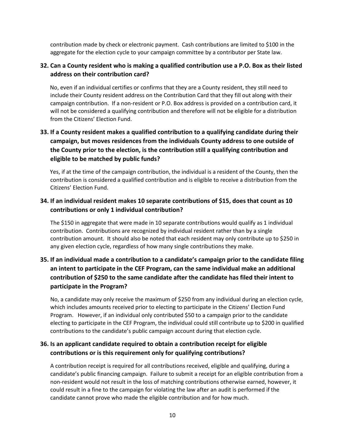contribution made by check or electronic payment. Cash contributions are limited to \$100 in the aggregate for the election cycle to your campaign committee by a contributor per State law.

## **32. Can a County resident who is making a qualified contribution use a P.O. Box as their listed address on their contribution card?**

No, even if an individual certifies or confirms that they are a County resident, they still need to include their County resident address on the Contribution Card that they fill out along with their campaign contribution. If a non-resident or P.O. Box address is provided on a contribution card, it will not be considered a qualifying contribution and therefore will not be eligible for a distribution from the Citizens' Election Fund.

# **33. If a County resident makes a qualified contribution to a qualifying candidate during their campaign, but moves residences from the individuals County address to one outside of the County prior to the election, is the contribution still a qualifying contribution and eligible to be matched by public funds?**

Yes, if at the time of the campaign contribution, the individual is a resident of the County, then the contribution is considered a qualified contribution and is eligible to receive a distribution from the Citizens' Election Fund.

# **34. If an individual resident makes 10 separate contributions of \$15, does that count as 10 contributions or only 1 individual contribution?**

The \$150 in aggregate that were made in 10 separate contributions would qualify as 1 individual contribution. Contributions are recognized by individual resident rather than by a single contribution amount. It should also be noted that each resident may only contribute up to \$250 in any given election cycle, regardless of how many single contributions they make.

# **35. If an individual made a contribution to a candidate's campaign prior to the candidate filing an intent to participate in the CEF Program, can the same individual make an additional contribution of \$250 to the same candidate after the candidate has filed their intent to participate in the Program?**

No, a candidate may only receive the maximum of \$250 from any individual during an election cycle, which includes amounts received prior to electing to participate in the Citizens' Election Fund Program. However, if an individual only contributed \$50 to a campaign prior to the candidate electing to participate in the CEF Program, the individual could still contribute up to \$200 in qualified contributions to the candidate's public campaign account during that election cycle.

# **36. Is an applicant candidate required to obtain a contribution receipt for eligible contributions or is this requirement only for qualifying contributions?**

A contribution receipt is required for all contributions received, eligible and qualifying, during a candidate's public financing campaign. Failure to submit a receipt for an eligible contribution from a non-resident would not result in the loss of matching contributions otherwise earned, however, it could result in a fine to the campaign for violating the law after an audit is performed if the candidate cannot prove who made the eligible contribution and for how much.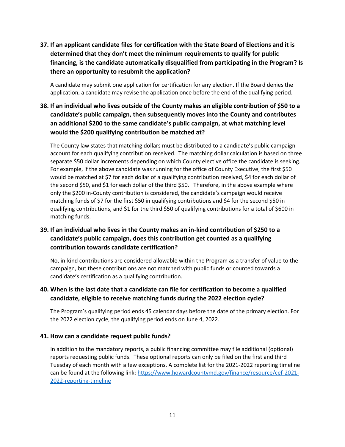**37. If an applicant candidate files for certification with the State Board of Elections and it is determined that they don't meet the minimum requirements to qualify for public financing, is the candidate automatically disqualified from participating in the Program? Is there an opportunity to resubmit the application?**

A candidate may submit one application for certification for any election. If the Board denies the application, a candidate may revise the application once before the end of the qualifying period.

**38. If an individual who lives outside of the County makes an eligible contribution of \$50 to a candidate's public campaign, then subsequently moves into the County and contributes an additional \$200 to the same candidate's public campaign, at what matching level would the \$200 qualifying contribution be matched at?**

The County law states that matching dollars must be distributed to a candidate's public campaign account for each qualifying contribution received. The matching dollar calculation is based on three separate \$50 dollar increments depending on which County elective office the candidate is seeking. For example, if the above candidate was running for the office of County Executive, the first \$50 would be matched at \$7 for each dollar of a qualifying contribution received, \$4 for each dollar of the second \$50, and \$1 for each dollar of the third \$50. Therefore, in the above example where only the \$200 in-County contribution is considered, the candidate's campaign would receive matching funds of \$7 for the first \$50 in qualifying contributions and \$4 for the second \$50 in qualifying contributions, and \$1 for the third \$50 of qualifying contributions for a total of \$600 in matching funds.

# **39. If an individual who lives in the County makes an in-kind contribution of \$250 to a candidate's public campaign, does this contribution get counted as a qualifying contribution towards candidate certification?**

No, in-kind contributions are considered allowable within the Program as a transfer of value to the campaign, but these contributions are not matched with public funds or counted towards a candidate's certification as a qualifying contribution.

### **40. When is the last date that a candidate can file for certification to become a qualified candidate, eligible to receive matching funds during the 2022 election cycle?**

The Program's qualifying period ends 45 calendar days before the date of the primary election. For the 2022 election cycle, the qualifying period ends on June 4, 2022.

#### **41. How can a candidate request public funds?**

In addition to the mandatory reports, a public financing committee may file additional (optional) reports requesting public funds. These optional reports can only be filed on the first and third Tuesday of each month with a few exceptions. A complete list for the 2021-2022 reporting timeline can be found at the following link: [https://www.howardcountymd.gov/finance/resource/cef-2021-](https://www.howardcountymd.gov/finance/resource/cef-2021-2022-reporting-timeline) [2022-reporting-timeline](https://www.howardcountymd.gov/finance/resource/cef-2021-2022-reporting-timeline)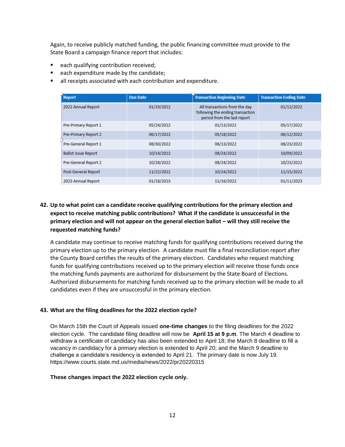Again, to receive publicly matched funding, the public financing committee must provide to the State Board a campaign finance report that includes:

- each qualifying contribution received;
- each expenditure made by the candidate;
- all receipts associated with each contribution and expenditure.

| <b>Report</b>              | <b>Due Date</b> | <b>Transaction Beginning Date</b>                                                                | <b>Transaction Ending Date</b> |
|----------------------------|-----------------|--------------------------------------------------------------------------------------------------|--------------------------------|
| 2022 Annual Report         | 01/19/2022      | All transactions from the day<br>following the ending transaction<br>period from the last report | 01/12/2022                     |
| Pre-Primary Report 1       | 05/24/2022      | 01/13/2022                                                                                       | 05/17/2022                     |
| Pre-Primary Report 2       | 06/17/2022      | 05/18/2022                                                                                       | 06/12/2022                     |
| Pre-General Report 1       | 08/30/2022      | 06/13/2022                                                                                       | 08/23/2022                     |
| <b>Ballot Issue Report</b> | 10/14/2022      | 08/24/2022                                                                                       | 10/09/2022                     |
| Pre-General Report 2       | 10/28/2022      | 08/24/2022                                                                                       | 10/23/2022                     |
| Post-General Report        | 11/22/2022      | 10/24/2022                                                                                       | 11/15/2022                     |
| 2023 Annual Report         | 01/18/2023      | 11/16/2022                                                                                       | 01/11/2023                     |

#### **42. Up to what point can a candidate receive qualifying contributions for the primary election and expect to receive matching public contributions? What if the candidate is unsuccessful in the primary election and will not appear on the general election ballot – will they still receive the requested matching funds?**

A candidate may continue to receive matching funds for qualifying contributions received during the primary election up to the primary election. A candidate must file a final reconciliation report after the County Board certifies the results of the primary election. Candidates who request matching funds for qualifying contributions received up to the primary election will receive those funds once the matching funds payments are authorized for disbursement by the State Board of Elections. Authorized disbursements for matching funds received up to the primary election will be made to all candidates even if they are unsuccessful in the primary election.

#### **43. What are the filing deadlines for the 2022 election cycle?**

On March 15th the Court of Appeals issued **one-time changes** to the filing deadlines for the 2022 election cycle. The candidate filing deadline will now be **April 15 at 9 p.m**. The March 4 deadline to withdraw a certificate of candidacy has also been extended to April 18; the March 8 deadline to fill a vacancy in candidacy for a primary election is extended to April 20; and the March 9 deadline to challenge a candidate's residency is extended to April 21. The primary date is now July 19. https://www.courts.state.md.us/media/news/2022/pr20220315

#### **These changes impact the 2022 election cycle only.**